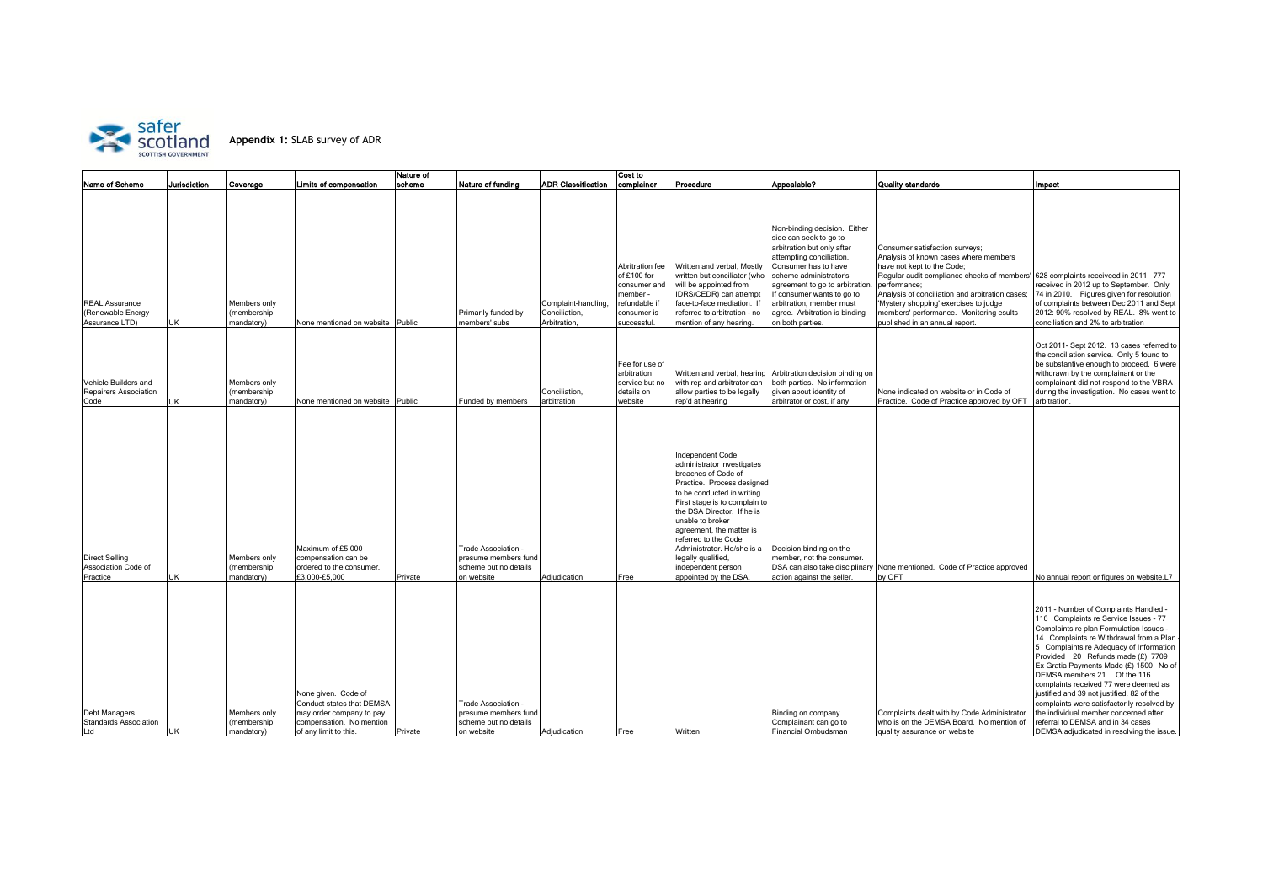

|                                                              |              |                                          |                                                                                                                                   | Nature of |                                                                                    |                                                      | Cost to                                                                                                   |                                                                                                                                                                                                                                                                                                                                                                              |                                                                                                                                                                                                                                                                                                                     |                                                                                                                                                                                                                                                                                                                                              |                                                                                                                                                                                                                                                                                                                                                                                                                                                                                                                                                                                              |
|--------------------------------------------------------------|--------------|------------------------------------------|-----------------------------------------------------------------------------------------------------------------------------------|-----------|------------------------------------------------------------------------------------|------------------------------------------------------|-----------------------------------------------------------------------------------------------------------|------------------------------------------------------------------------------------------------------------------------------------------------------------------------------------------------------------------------------------------------------------------------------------------------------------------------------------------------------------------------------|---------------------------------------------------------------------------------------------------------------------------------------------------------------------------------------------------------------------------------------------------------------------------------------------------------------------|----------------------------------------------------------------------------------------------------------------------------------------------------------------------------------------------------------------------------------------------------------------------------------------------------------------------------------------------|----------------------------------------------------------------------------------------------------------------------------------------------------------------------------------------------------------------------------------------------------------------------------------------------------------------------------------------------------------------------------------------------------------------------------------------------------------------------------------------------------------------------------------------------------------------------------------------------|
| <b>Name of Scheme</b>                                        | lurisdiction | Coverage                                 | Limits of compensation                                                                                                            | scheme    | Nature of funding                                                                  | <b>ADR Classification</b>                            | complainer                                                                                                | Procedure                                                                                                                                                                                                                                                                                                                                                                    | Appealable?                                                                                                                                                                                                                                                                                                         | <b>Quality standards</b>                                                                                                                                                                                                                                                                                                                     | <b>Impact</b>                                                                                                                                                                                                                                                                                                                                                                                                                                                                                                                                                                                |
| <b>REAL Assurance</b><br>(Renewable Energy<br>Assurance LTD) | UK           | Members only<br>membership<br>mandatory) | None mentioned on website Public                                                                                                  |           | Primarily funded by<br>members' subs                                               | Complaint-handling,<br>Conciliation,<br>Arbitration, | Abritration fee<br>of £100 for<br>consumer and<br>member -<br>refundable if<br>consumer is<br>successful. | Written and verbal, Mostly<br>written but conciliator (who<br>will be appointed from<br>IDRS/CEDR) can attempt<br>face-to-face mediation. If<br>referred to arbitration - no<br>mention of any hearing                                                                                                                                                                       | Non-binding decision. Either<br>side can seek to go to<br>arbitration but only after<br>attempting conciliation.<br>Consumer has to have<br>scheme administrator's<br>agreement to go to arbitration<br>If consumer wants to go to<br>arbitration, member must<br>agree. Arbitration is binding<br>on both parties. | Consumer satisfaction surveys;<br>Analysis of known cases where members<br>have not kept to the Code;<br>Regular audit compliance checks of members'<br>performance;<br>Analysis of conciliation and arbitration cases;<br>Mystery shopping' exercises to judge<br>members' performance. Monitoring esults<br>oublished in an annual report. | 628 complaints receiveed in 2011. 777<br>received in 2012 up to September. Only<br>74 in 2010. Figures given for resolution<br>of complaints between Dec 2011 and Sept<br>2012: 90% resolved by REAL. 8% went to<br>conciliation and 2% to arbitration                                                                                                                                                                                                                                                                                                                                       |
| Vehicle Builders and<br>Repairers Association<br>Code        | JK           | Members only<br>membership<br>mandatory) | None mentioned on website Public                                                                                                  |           | Funded by members                                                                  | Conciliation.<br>arbitration                         | Fee for use of<br>arbitration<br>service but no<br>details on<br>website                                  | with rep and arbitrator can<br>allow parties to be legally<br>rep'd at hearing                                                                                                                                                                                                                                                                                               | Written and verbal, hearing Arbitration decision binding on<br>both parties. No information<br>given about identity of<br>arbitrator or cost, if any                                                                                                                                                                | None indicated on website or in Code of<br>Practice. Code of Practice approved by OFT                                                                                                                                                                                                                                                        | Oct 2011- Sept 2012. 13 cases referred to<br>the conciliation service. Only 5 found to<br>be substantive enough to proceed. 6 were<br>withdrawn by the complainant or the<br>complainant did not respond to the VBRA<br>during the investigation. No cases went to<br>arbitration.                                                                                                                                                                                                                                                                                                           |
| <b>Direct Selling</b><br>Association Code of<br>Practice     | JK           | Members only<br>membership<br>mandatory) | Maximum of £5,000<br>compensation can be<br>ordered to the consumer.<br>£3,000-£5,000                                             | Private   | Trade Association -<br>presume members fund<br>scheme but no details<br>on website | Adjudication                                         | Free                                                                                                      | Independent Code<br>administrator investigates<br>breaches of Code of<br>Practice. Process designed<br>to be conducted in writing.<br>First stage is to complain to<br>the DSA Director. If he is<br>unable to broker<br>agreement, the matter is<br>referred to the Code<br>Administrator. He/she is a<br>legally qualified,<br>independent person<br>appointed by the DSA. | Decision binding on the<br>member, not the consumer.<br>DSA can also take disciplinary<br>action against the seller.                                                                                                                                                                                                | None mentioned. Code of Practice approved<br>by OFT                                                                                                                                                                                                                                                                                          | No annual report or figures on website.L7                                                                                                                                                                                                                                                                                                                                                                                                                                                                                                                                                    |
| Debt Managers<br><b>Standards Association</b><br>Ltd         | JK           | Members only<br>membership<br>mandatory) | None given. Code of<br>Conduct states that DEMSA<br>may order company to pay<br>compensation. No mention<br>of any limit to this. | Private   | Trade Association -<br>presume members fund<br>scheme but no details<br>on website | Adjudication                                         | Free                                                                                                      | Written                                                                                                                                                                                                                                                                                                                                                                      | Binding on company.<br>Complainant can go to<br>Financial Ombudsman                                                                                                                                                                                                                                                 | Complaints dealt with by Code Administrator<br>who is on the DEMSA Board. No mention of<br>quality assurance on website                                                                                                                                                                                                                      | 2011 - Number of Complaints Handled -<br>116 Complaints re Service Issues - 77<br>Complaints re plan Formulation Issues -<br>14 Complaints re Withdrawal from a Plan<br>5 Complaints re Adequacy of Information<br>Provided 20 Refunds made (£) 7709<br>Ex Gratia Payments Made (£) 1500 No of<br>DEMSA members 21 Of the 116<br>complaints received 77 were deemed as<br>justified and 39 not justified. 82 of the<br>complaints were satisfactorily resolved by<br>the individual member concerned after<br>referral to DEMSA and in 34 cases<br>DEMSA adjudicated in resolving the issue. |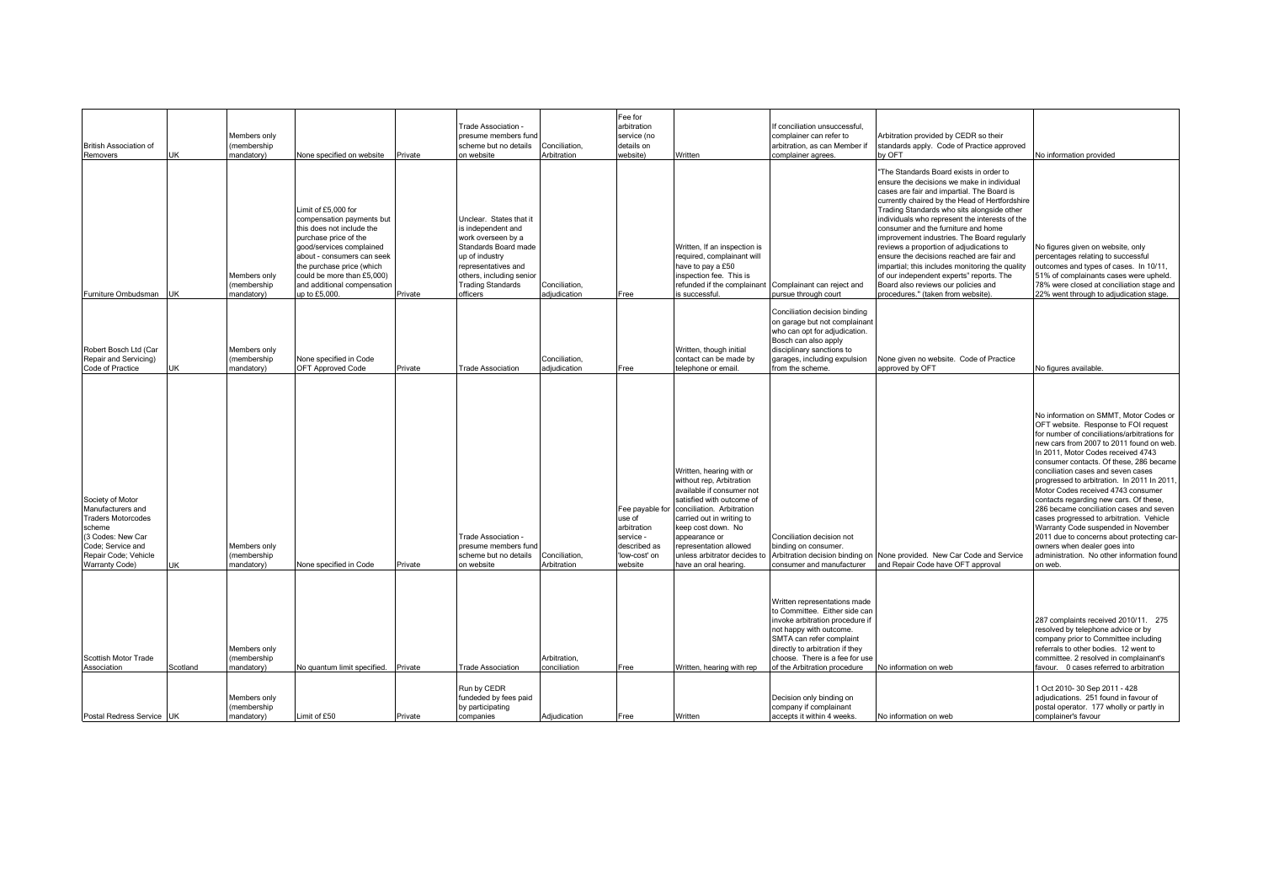| <b>British Association of</b><br>Removers                                                                                                                               | JK       | Members only<br>(membership<br>mandatory) | None specified on website                                                                                                                                                                                                                                                   | Private | Frade Association -<br>presume members fun<br>scheme but no details<br>on website                                                                                                                        | Conciliation.<br><b>Arbitration</b> | Fee for<br>arbitration<br>service (no<br>details on<br>website)                                   | Written                                                                                                                                                                                                                                                                                          | f conciliation unsuccessful.<br>complainer can refer to<br>arbitration, as can Member if<br>complainer agrees.                                                                                                                                               | Arbitration provided by CEDR so their<br>standards apply. Code of Practice approved<br>w OFT                                                                                                                                                                                                                                                                                                                                                                                                                                                                                                                                                     | No information provided                                                                                                                                                                                                                                                                                                                                                                                                                                                                                                                                                                                                                                                                               |
|-------------------------------------------------------------------------------------------------------------------------------------------------------------------------|----------|-------------------------------------------|-----------------------------------------------------------------------------------------------------------------------------------------------------------------------------------------------------------------------------------------------------------------------------|---------|----------------------------------------------------------------------------------------------------------------------------------------------------------------------------------------------------------|-------------------------------------|---------------------------------------------------------------------------------------------------|--------------------------------------------------------------------------------------------------------------------------------------------------------------------------------------------------------------------------------------------------------------------------------------------------|--------------------------------------------------------------------------------------------------------------------------------------------------------------------------------------------------------------------------------------------------------------|--------------------------------------------------------------------------------------------------------------------------------------------------------------------------------------------------------------------------------------------------------------------------------------------------------------------------------------------------------------------------------------------------------------------------------------------------------------------------------------------------------------------------------------------------------------------------------------------------------------------------------------------------|-------------------------------------------------------------------------------------------------------------------------------------------------------------------------------------------------------------------------------------------------------------------------------------------------------------------------------------------------------------------------------------------------------------------------------------------------------------------------------------------------------------------------------------------------------------------------------------------------------------------------------------------------------------------------------------------------------|
| Furniture Ombudsman                                                                                                                                                     | JK       | Members only<br>(membership<br>mandatory) | Limit of £5,000 for<br>compensation payments but<br>this does not include the<br>purchase price of the<br>good/services complained<br>about - consumers can seek<br>the purchase price (which<br>could be more than £5,000)<br>and additional compensation<br>up to £5,000. | Private | Unclear. States that it<br>is independent and<br>work overseen by a<br>Standards Board made<br>up of industry<br>representatives and<br>others, including senior<br><b>Trading Standards</b><br>officers | Conciliation,<br>adiudication       | Free                                                                                              | Written, If an inspection is<br>required, complainant will<br>have to pay a £50<br>inspection fee. This is<br>refunded if the complainant<br>s successful                                                                                                                                        | Complainant can reject and<br>oursue through court                                                                                                                                                                                                           | 'The Standards Board exists in order to<br>ensure the decisions we make in individual<br>cases are fair and impartial. The Board is<br>currently chaired by the Head of Hertfordshire<br>Trading Standards who sits alongside other<br>individuals who represent the interests of the<br>consumer and the furniture and home<br>improvement industries. The Board regularly<br>reviews a proportion of adjudications to<br>ensure the decisions reached are fair and<br>impartial; this includes monitoring the quality<br>of our independent experts" reports. The<br>Board also reviews our policies and<br>procedures." (taken from website). | No figures given on website, only<br>percentages relating to successful<br>outcomes and types of cases. In 10/11,<br>51% of complainants cases were upheld.<br>78% were closed at conciliation stage and<br>22% went through to adjudication stage.                                                                                                                                                                                                                                                                                                                                                                                                                                                   |
| Robert Bosch Ltd (Car<br>Repair and Servicing)<br>Code of Practice                                                                                                      |          | Members only<br>(membership<br>nandatory) | None specified in Code<br><b>OFT Approved Code</b>                                                                                                                                                                                                                          | Private | <b>Trade Association</b>                                                                                                                                                                                 | Conciliation.<br>diudication        | Free                                                                                              | Written, though initial<br>contact can be made by<br>elephone or email.                                                                                                                                                                                                                          | Conciliation decision binding<br>on garage but not complainant<br>who can opt for adjudication.<br>Bosch can also apply<br>disciplinary sanctions to<br>garages, including expulsion<br>rom the scheme.                                                      | Vone given no website. Code of Practice<br>approved by OFT                                                                                                                                                                                                                                                                                                                                                                                                                                                                                                                                                                                       | No figures available.                                                                                                                                                                                                                                                                                                                                                                                                                                                                                                                                                                                                                                                                                 |
| Society of Motor<br>Manufacturers and<br><b>Traders Motorcodes</b><br>scheme<br>(3 Codes: New Car<br>Code; Service and<br>Repair Code; Vehicle<br><b>Warranty Code)</b> | JK       | Members only<br>(membership<br>mandatory) | None specified in Code                                                                                                                                                                                                                                                      | Private | Trade Association -<br>presume members fund<br>scheme but no details<br>on website                                                                                                                       | Conciliation.<br>Arbitration        | Fee payable for<br>use of<br>arbitration<br>service -<br>described as<br>'low-cost' on<br>website | Written, hearing with or<br>without rep, Arbitration<br>available if consumer not<br>satisfied with outcome of<br>conciliation. Arbitration<br>carried out in writing to<br>keep cost down. No<br>appearance or<br>representation allowed<br>unless arbitrator decides to<br>ave an oral hearing | Conciliation decision not<br>binding on consumer.<br>Arbitration decision binding on<br>onsumer and manufacturer                                                                                                                                             | None provided. New Car Code and Service<br>and Repair Code have OFT approval                                                                                                                                                                                                                                                                                                                                                                                                                                                                                                                                                                     | No information on SMMT, Motor Codes or<br>OFT website. Response to FOI request<br>for number of conciliations/arbitrations for<br>new cars from 2007 to 2011 found on web.<br>In 2011, Motor Codes received 4743<br>consumer contacts. Of these, 286 became<br>conciliation cases and seven cases<br>progressed to arbitration. In 2011 In 2011,<br>Motor Codes received 4743 consumer<br>contacts regarding new cars. Of these,<br>286 became conciliation cases and seven<br>cases progressed to arbitration. Vehicle<br>Warranty Code suspended in November<br>2011 due to concerns about protecting car-<br>owners when dealer goes into<br>administration. No other information found<br>on web. |
| Scottish Motor Trade<br>Association                                                                                                                                     | Scotland | Members only<br>(membership<br>mandatory) | No quantum limit specified. Private                                                                                                                                                                                                                                         |         | <b>Trade Association</b>                                                                                                                                                                                 | Arbitration,<br>conciliation        | Free                                                                                              | Written, hearing with rep                                                                                                                                                                                                                                                                        | Written representations made<br>to Committee. Either side can<br>invoke arbitration procedure if<br>not happy with outcome.<br>SMTA can refer complaint<br>directly to arbitration if they<br>choose. There is a fee for use<br>of the Arbitration procedure | No information on web                                                                                                                                                                                                                                                                                                                                                                                                                                                                                                                                                                                                                            | 287 complaints received 2010/11. 275<br>resolved by telephone advice or by<br>company prior to Committee including<br>referrals to other bodies. 12 went to<br>committee. 2 resolved in complainant's<br>favour. 0 cases referred to arbitration                                                                                                                                                                                                                                                                                                                                                                                                                                                      |
| Postal Redress Service UK                                                                                                                                               |          | Members only<br>(membership<br>mandatory) | Limit of £50                                                                                                                                                                                                                                                                | Private | Run by CEDR<br>fundeded by fees paid<br>by participating<br>companies                                                                                                                                    | Adjudication                        | Free                                                                                              | Written                                                                                                                                                                                                                                                                                          | Decision only binding on<br>company if complainant<br>accepts it within 4 weeks.                                                                                                                                                                             | No information on web                                                                                                                                                                                                                                                                                                                                                                                                                                                                                                                                                                                                                            | 1 Oct 2010- 30 Sep 2011 - 428<br>adjudications. 251 found in favour of<br>postal operator. 177 wholly or partly in<br>complainer's favour                                                                                                                                                                                                                                                                                                                                                                                                                                                                                                                                                             |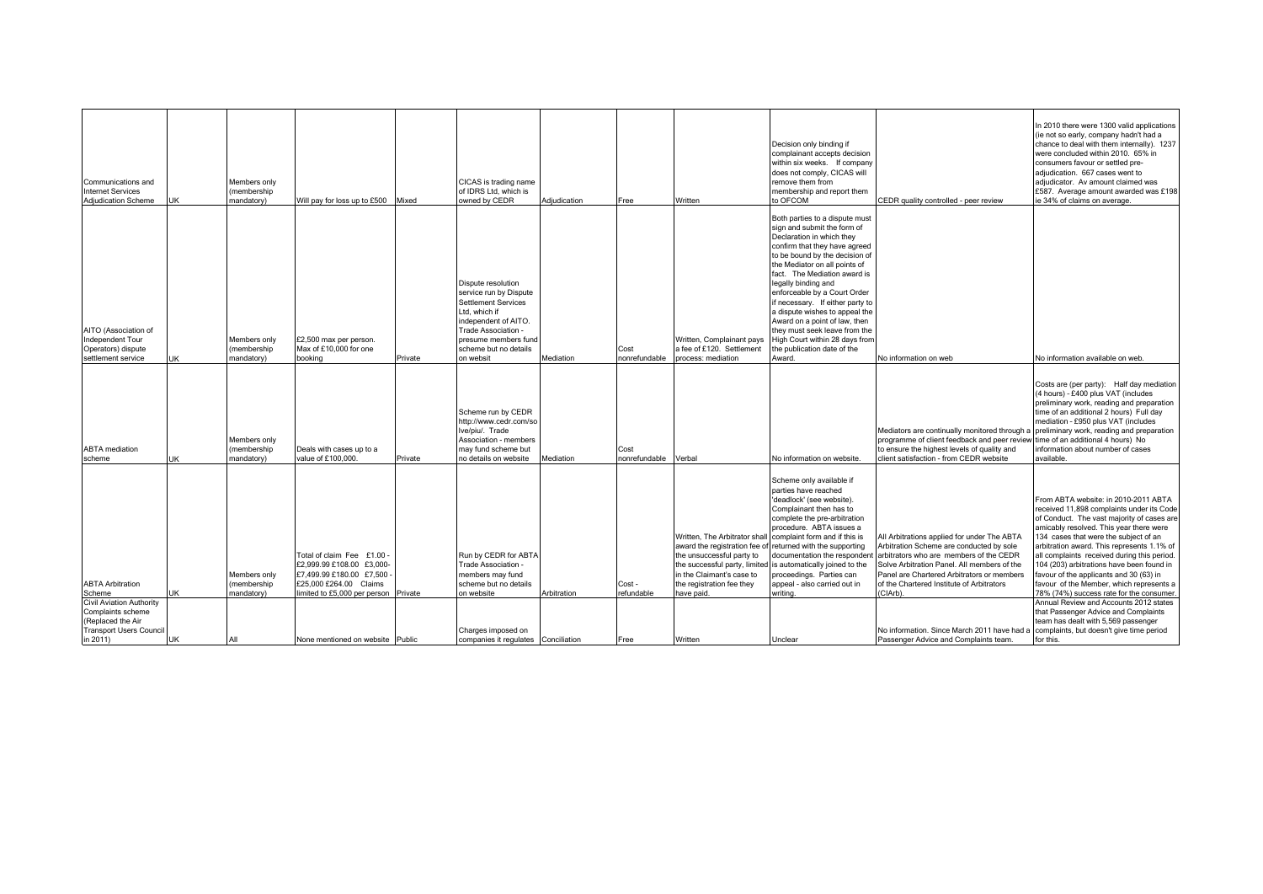| Communications and<br><b>Internet Services</b><br>Adjudication Scheme                                          | JK | Members only<br>membership<br>mandatory)  | Will pay for loss up to £500                                                                                                                       | Mixed   | CICAS is trading name<br>of IDRS Ltd. which is<br>owned by CEDR                                                                                                                                          | Adjudication | Free                  | Written                                                                                                                                                            | Decision only binding if<br>complainant accepts decision<br>within six weeks. If company<br>does not comply, CICAS will<br>remove them from<br>membership and report them<br>to OFCOM                                                                                                                                                                                                                                                                                                                    | CEDR quality controlled - peer review                                                                                                                                                                                                                                                    | In 2010 there were 1300 valid applications<br>(ie not so early, company hadn't had a<br>chance to deal with them internally). 1237<br>were concluded within 2010. 65% in<br>consumers favour or settled pre-<br>adjudication. 667 cases went to<br>adjudicator. Av amount claimed was<br>£587. Average amount awarded was £198<br>ie 34% of claims on average.                                                                                                                                                                                                                                                            |
|----------------------------------------------------------------------------------------------------------------|----|-------------------------------------------|----------------------------------------------------------------------------------------------------------------------------------------------------|---------|----------------------------------------------------------------------------------------------------------------------------------------------------------------------------------------------------------|--------------|-----------------------|--------------------------------------------------------------------------------------------------------------------------------------------------------------------|----------------------------------------------------------------------------------------------------------------------------------------------------------------------------------------------------------------------------------------------------------------------------------------------------------------------------------------------------------------------------------------------------------------------------------------------------------------------------------------------------------|------------------------------------------------------------------------------------------------------------------------------------------------------------------------------------------------------------------------------------------------------------------------------------------|---------------------------------------------------------------------------------------------------------------------------------------------------------------------------------------------------------------------------------------------------------------------------------------------------------------------------------------------------------------------------------------------------------------------------------------------------------------------------------------------------------------------------------------------------------------------------------------------------------------------------|
| AITO (Association of<br>Independent Tour<br>Operators) dispute<br>settlement service                           | UK | Members only<br>membership<br>mandatory)  | £2,500 max per person.<br>Max of £10,000 for one<br>booking                                                                                        | Private | Dispute resolution<br>service run by Dispute<br><b>Settlement Services</b><br>Ltd. which if<br>independent of AITO.<br>Trade Association -<br>presume members fund<br>scheme but no details<br>on websit | Mediation    | Cost<br>nonrefundable | Written, Complainant pays<br>a fee of £120. Settlement<br>process: mediation                                                                                       | Both parties to a dispute must<br>sign and submit the form of<br>Declaration in which they<br>confirm that they have agreed<br>to be bound by the decision of<br>the Mediator on all points of<br>fact. The Mediation award is<br>legally binding and<br>enforceable by a Court Order<br>if necessary. If either party to<br>a dispute wishes to appeal the<br>Award on a point of law, then<br>they must seek leave from the<br>High Court within 28 days from<br>the publication date of the<br>Award. | No information on web                                                                                                                                                                                                                                                                    | No information available on web.                                                                                                                                                                                                                                                                                                                                                                                                                                                                                                                                                                                          |
| <b>ABTA</b> mediation<br>scheme                                                                                | JK | Members only<br>membership<br>mandatory)  | Deals with cases up to a<br>value of £100,000.                                                                                                     | Private | Scheme run by CEDR<br>http://www.cedr.com/so<br>Ive/piu/. Trade<br>Association - members<br>may fund scheme but<br>no details on website                                                                 | Mediation    | Cost<br>nonrefundable | Verbal                                                                                                                                                             | No information on website.                                                                                                                                                                                                                                                                                                                                                                                                                                                                               | Mediators are continually monitored through<br>programme of client feedback and peer review<br>to ensure the highest levels of quality and<br>client satisfaction - from CEDR website                                                                                                    | Costs are (per party): Half day mediation<br>(4 hours) - £400 plus VAT (includes<br>preliminary work, reading and preparation<br>time of an additional 2 hours) Full day<br>mediation - £950 plus VAT (includes<br>preliminary work, reading and preparation<br>time of an additional 4 hours) No<br>information about number of cases<br>available.                                                                                                                                                                                                                                                                      |
| <b>ABTA Arbitration</b><br>Scheme<br><b>Civil Aviation Authority</b><br>Complaints scheme<br>(Replaced the Air | JK | Members only<br>(membership<br>mandatory) | Total of claim Fee £1.00<br>£2,999.99 £108.00 £3,000<br>£7.499.99 £180.00 £7.500<br>£25,000 £264.00 Claims<br>limited to £5,000 per person Private |         | Run by CEDR for ABTA<br>Trade Association -<br>members may fund<br>scheme but no details<br>on website                                                                                                   | Arbitration  | Cost -<br>refundable  | Written, The Arbitrator shal<br>award the registration fee of<br>the unsuccessful party to<br>in the Claimant's case to<br>the registration fee they<br>have paid. | Scheme only available if<br>parties have reached<br>'deadlock' (see website).<br>Complainant then has to<br>complete the pre-arbitration<br>procedure. ABTA issues a<br>complaint form and if this is<br>returned with the supporting<br>documentation the respondent<br>the successful party, limited is automatically joined to the<br>proceedings. Parties can<br>appeal - also carried out in<br>writing.                                                                                            | All Arbitrations applied for under The ABTA<br>Arbitration Scheme are conducted by sole<br>arbitrators who are members of the CEDR<br>Solve Arbitration Panel. All members of the<br>Panel are Chartered Arbitrators or members<br>of the Chartered Institute of Arbitrators<br>(CIArb). | From ABTA website: in 2010-2011 ABTA<br>received 11,898 complaints under its Code<br>of Conduct. The vast majority of cases are<br>amicably resolved. This year there were<br>134 cases that were the subject of an<br>arbitration award. This represents 1.1% of<br>all complaints received during this period.<br>104 (203) arbitrations have been found in<br>favour of the applicants and 30 (63) in<br>favour of the Member, which represents a<br>78% (74%) success rate for the consumer.<br>Annual Review and Accounts 2012 states<br>that Passenger Advice and Complaints<br>team has dealt with 5,569 passenger |
| <b>Transport Users Council</b><br>in 2011)                                                                     | JK | All                                       | None mentioned on website Public                                                                                                                   |         | Charges imposed on<br>companies it regulates Conciliation                                                                                                                                                |              | Free                  | Written                                                                                                                                                            | Unclear                                                                                                                                                                                                                                                                                                                                                                                                                                                                                                  | No information. Since March 2011 have had a<br>Passenger Advice and Complaints team.                                                                                                                                                                                                     | complaints, but doesn't give time period<br>for this.                                                                                                                                                                                                                                                                                                                                                                                                                                                                                                                                                                     |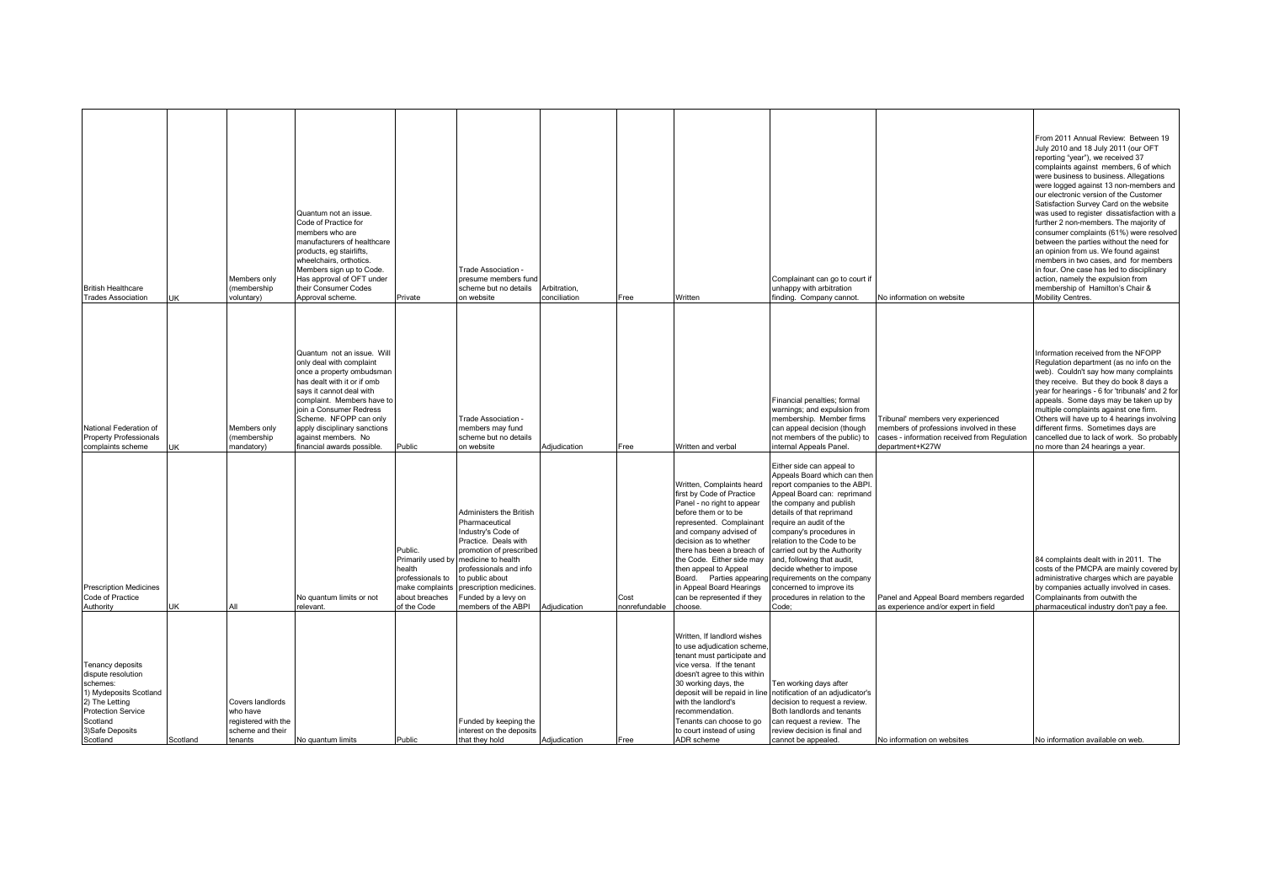| <b>British Healthcare</b><br><b>Trades Association</b>                                                                                                                  | JK       | Members only<br>membership<br>voluntary)                                           | Quantum not an issue.<br>Code of Practice for<br>members who are<br>manufacturers of healthcare<br>products, eg stairlifts,<br>wheelchairs, orthotics.<br>Members sign up to Code.<br>Has approval of OFT under<br>their Consumer Codes<br>Approval scheme                                                             | Private                                                                                   | Trade Association -<br>presume members fund<br>scheme but no details<br>on website                                                                                                                                                                                              | Arbitration,<br>conciliation | Free                  | Written                                                                                                                                                                                                                                                                                                                                               | Complainant can go to court if<br>unhappy with arbitration<br>finding. Company cannot                                                                                                                                                                                                                                                                                                                                                                                                        | <b>Vo information on website</b>                                                                                                                  | From 2011 Annual Review: Between 19<br>July 2010 and 18 July 2011 (our OFT<br>reporting "year"), we received 37<br>complaints against members, 6 of which<br>were business to business. Allegations<br>were logged against 13 non-members and<br>our electronic version of the Customer<br>Satisfaction Survey Card on the website<br>was used to register dissatisfaction with a<br>further 2 non-members. The majority of<br>consumer complaints (61%) were resolved<br>between the parties without the need for<br>an opinion from us. We found against<br>members in two cases, and for members<br>in four. One case has led to disciplinary<br>action, namely the expulsion from<br>membership of Hamilton's Chair &<br>Mobility Centres. |
|-------------------------------------------------------------------------------------------------------------------------------------------------------------------------|----------|------------------------------------------------------------------------------------|------------------------------------------------------------------------------------------------------------------------------------------------------------------------------------------------------------------------------------------------------------------------------------------------------------------------|-------------------------------------------------------------------------------------------|---------------------------------------------------------------------------------------------------------------------------------------------------------------------------------------------------------------------------------------------------------------------------------|------------------------------|-----------------------|-------------------------------------------------------------------------------------------------------------------------------------------------------------------------------------------------------------------------------------------------------------------------------------------------------------------------------------------------------|----------------------------------------------------------------------------------------------------------------------------------------------------------------------------------------------------------------------------------------------------------------------------------------------------------------------------------------------------------------------------------------------------------------------------------------------------------------------------------------------|---------------------------------------------------------------------------------------------------------------------------------------------------|------------------------------------------------------------------------------------------------------------------------------------------------------------------------------------------------------------------------------------------------------------------------------------------------------------------------------------------------------------------------------------------------------------------------------------------------------------------------------------------------------------------------------------------------------------------------------------------------------------------------------------------------------------------------------------------------------------------------------------------------|
| National Federation of<br><b>Property Professionals</b><br>complaints scheme                                                                                            |          | Members only<br>(membership<br>nandatory)                                          | Quantum not an issue. Will<br>only deal with complaint<br>once a property ombudsman<br>has dealt with it or if omb<br>says it cannot deal with<br>complaint. Members have to<br>join a Consumer Redress<br>Scheme. NFOPP can only<br>apply disciplinary sanctions<br>against members. No<br>financial awards possible. | Public                                                                                    | Trade Association -<br>members may fund<br>scheme but no details<br>on website                                                                                                                                                                                                  | Adjudication                 | Free                  | Written and verbal                                                                                                                                                                                                                                                                                                                                    | Financial penalties; formal<br>warnings; and expulsion from<br>membership. Member firms<br>can appeal decision (though<br>not members of the public) to<br>nternal Appeals Panel.                                                                                                                                                                                                                                                                                                            | Tribunal' members very experienced<br>nembers of professions involved in these<br>cases - information received from Regulation<br>lepartment+K27W | Information received from the NFOPP<br>Regulation department (as no info on the<br>web). Couldn't say how many complaints<br>they receive. But they do book 8 days a<br>year for hearings - 6 for 'tribunals' and 2 for<br>appeals. Some days may be taken up by<br>multiple complaints against one firm.<br>Others will have up to 4 hearings involving<br>different firms. Sometimes days are<br>cancelled due to lack of work. So probably<br>no more than 24 hearings a year.                                                                                                                                                                                                                                                              |
| <b>Prescription Medicines</b><br>Code of Practice<br>Authority                                                                                                          | JK       | All                                                                                | No quantum limits or not<br>relevant.                                                                                                                                                                                                                                                                                  | Public.<br>health<br>professionals to<br>make complaints<br>about breaches<br>of the Code | Administers the British<br>Pharmaceutical<br>Industry's Code of<br>Practice. Deals with<br>promotion of prescribed<br>Primarily used by medicine to health<br>professionals and info<br>to public about<br>prescription medicines<br>Funded by a levy on<br>members of the ABPI | Adiudication                 | Cost<br>nonrefundable | Written, Complaints heard<br>first by Code of Practice<br>Panel - no right to appear<br>before them or to be<br>represented. Complainant<br>and company advised of<br>decision as to whether<br>there has been a breach of<br>the Code. Either side may<br>then appeal to Appeal<br>in Appeal Board Hearings<br>can be represented if they<br>choose. | Either side can appeal to<br>Appeals Board which can ther<br>report companies to the ABPI.<br>Appeal Board can: reprimand<br>the company and publish<br>details of that reprimand<br>require an audit of the<br>company's procedures in<br>elation to the Code to be<br>carried out by the Authority<br>and, following that audit,<br>decide whether to impose<br>Board. Parties appearing requirements on the company<br>concerned to improve its<br>procedures in relation to the<br>Code: | Panel and Appeal Board members regarded<br>as experience and/or expert in field                                                                   | 84 complaints dealt with in 2011. The<br>costs of the PMCPA are mainly covered by<br>administrative charges which are payable<br>by companies actually involved in cases.<br>Complainants from outwith the<br>pharmaceutical industry don't pay a fee.                                                                                                                                                                                                                                                                                                                                                                                                                                                                                         |
| Tenancy deposits<br>dispute resolution<br>schemes:<br>1) Mydeposits Scotland<br>2) The Letting<br><b>Protection Service</b><br>Scotland<br>3) Safe Deposits<br>Scotland | Scotland | Covers landlords<br>who have<br>registered with the<br>scheme and their<br>tenants | No quantum limits                                                                                                                                                                                                                                                                                                      | Public                                                                                    | Funded by keeping the<br>interest on the deposits<br>that they hold                                                                                                                                                                                                             | Adjudication                 | Free                  | Written, If landlord wishes<br>to use adjudication scheme<br>tenant must participate and<br>vice versa. If the tenant<br>doesn't agree to this within<br>30 working days, the<br>with the landlord's<br>recommendation<br>Tenants can choose to go<br>to court instead of using<br>ADR scheme                                                         | Ten working days after<br>deposit will be repaid in line notification of an adjudicator's<br>decision to request a review.<br>Both landlords and tenants<br>can request a review. The<br>review decision is final and<br>cannot be appealed.                                                                                                                                                                                                                                                 | No information on websites                                                                                                                        | No information available on web                                                                                                                                                                                                                                                                                                                                                                                                                                                                                                                                                                                                                                                                                                                |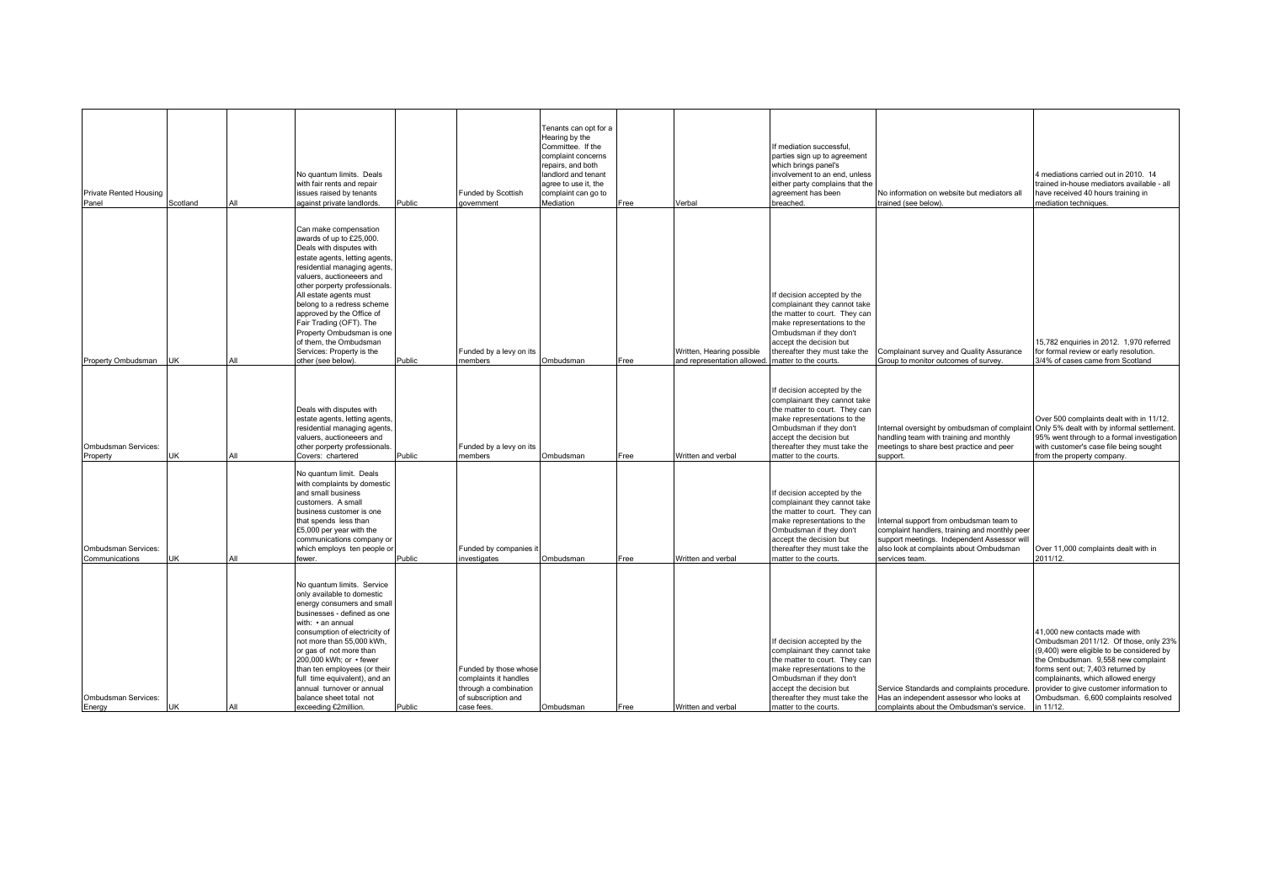| <b>Private Rented Housing</b><br>Panel | Scotland   | All | No quantum limits. Deals<br>with fair rents and repair<br>issues raised by tenants<br>against private landlords.                                                                                                                                                                                                                                                                                                                     | Public | Funded by Scottish<br>qovernment                                                                             | Fenants can opt for a<br>Hearing by the<br>Committee. If the<br>complaint concerns<br>repairs, and both<br>landlord and tenant<br>agree to use it, the<br>complaint can go to<br>Mediation | Free | Verbal                                                  | If mediation successful,<br>parties sign up to agreement<br>which brings panel's<br>involvement to an end, unless<br>either party complains that the<br>agreement has been<br>breached.                                                     | No information on website but mediators all<br>trained (see below)                                                                                                                                   | 4 mediations carried out in 2010. 14<br>trained in-house mediators available - all<br>have received 40 hours training in<br>mediation techniques.                                                                                                                                                                                     |
|----------------------------------------|------------|-----|--------------------------------------------------------------------------------------------------------------------------------------------------------------------------------------------------------------------------------------------------------------------------------------------------------------------------------------------------------------------------------------------------------------------------------------|--------|--------------------------------------------------------------------------------------------------------------|--------------------------------------------------------------------------------------------------------------------------------------------------------------------------------------------|------|---------------------------------------------------------|---------------------------------------------------------------------------------------------------------------------------------------------------------------------------------------------------------------------------------------------|------------------------------------------------------------------------------------------------------------------------------------------------------------------------------------------------------|---------------------------------------------------------------------------------------------------------------------------------------------------------------------------------------------------------------------------------------------------------------------------------------------------------------------------------------|
| Property Ombudsman                     | <b>IUK</b> | All | Can make compensation<br>awards of up to £25,000.<br>Deals with disputes with<br>estate agents, letting agents<br>residential managing agents<br>valuers, auctioneeers and<br>other porperty professionals.<br>All estate agents must<br>belong to a redress scheme<br>approved by the Office of<br>Fair Trading (OFT). The<br>Property Ombudsman is one<br>of them, the Ombudsman<br>Services: Property is the<br>other (see below) | Public | Funded by a levy on its<br>nembers                                                                           | Ombudsman                                                                                                                                                                                  | Free | Written, Hearing possible<br>and representation allowed | If decision accepted by the<br>complainant they cannot take<br>the matter to court. They can<br>make representations to the<br>Ombudsman if they don't<br>accept the decision but<br>thereafter they must take the<br>matter to the courts. | Complainant survey and Quality Assurance<br>Group to monitor outcomes of survey                                                                                                                      | 15,782 enquiries in 2012. 1,970 referred<br>for formal review or early resolution.<br>3/4% of cases came from Scotland                                                                                                                                                                                                                |
| Ombudsman Services:<br>Property        | <b>UK</b>  | All | Deals with disputes with<br>estate agents, letting agents<br>residential managing agents<br>valuers, auctioneeers and<br>other porperty professionals<br>Covers: chartered                                                                                                                                                                                                                                                           | Public | Funded by a levy on its<br>members                                                                           | Ombudsman                                                                                                                                                                                  | Free | Written and verbal                                      | If decision accepted by the<br>complainant they cannot take<br>the matter to court. They can<br>make representations to the<br>Ombudsman if they don't<br>accept the decision but<br>thereafter they must take the<br>matter to the courts. | Internal oversight by ombudsman of complair<br>handling team with training and monthly<br>meetings to share best practice and peer<br>support.                                                       | Over 500 complaints dealt with in 11/12.<br>Only 5% dealt with by informal settlement.<br>95% went through to a formal investigation<br>with customer's case file being sought<br>from the property company.                                                                                                                          |
| Ombudsman Services:<br>Communications  | JK         | All | No quantum limit. Deals<br>with complaints by domestic<br>and small business<br>customers. A small<br>business customer is one<br>that spends less than<br>£5,000 per year with the<br>communications company or<br>which employs ten people or<br>fewer.                                                                                                                                                                            | Public | Funded by companies i<br>nvestigates                                                                         | Ombudsman                                                                                                                                                                                  | Free | Written and verbal                                      | If decision accepted by the<br>complainant they cannot take<br>the matter to court. They can<br>make representations to the<br>Ombudsman if they don't<br>accept the decision but<br>thereafter they must take the<br>matter to the courts. | Internal support from ombudsman team to<br>complaint handlers, training and monthly peer<br>support meetings. Independent Assessor will<br>also look at complaints about Ombudsman<br>services team. | Over 11,000 complaints dealt with in<br>2011/12.                                                                                                                                                                                                                                                                                      |
| Ombudsman Services:<br>Energy          | <b>UK</b>  | All | No quantum limits. Service<br>only available to domestic<br>energy consumers and small<br>businesses - defined as one<br>with: • an annual<br>consumption of electricity of<br>not more than 55,000 kWh,<br>or gas of not more than<br>200,000 kWh; or • fewer<br>than ten employees (or their<br>full time equivalent), and an<br>annual turnover or annual<br>balance sheet total not<br>exceeding €2million.                      | Public | Funded by those whose<br>complaints it handles<br>through a combination<br>of subscription and<br>case fees. | Ombudsman                                                                                                                                                                                  | Free | Written and verbal                                      | If decision accepted by the<br>complainant they cannot take<br>the matter to court. They can<br>make representations to the<br>Ombudsman if they don't<br>accept the decision but<br>thereafter they must take the<br>matter to the courts. | Service Standards and complaints procedure<br>Has an independent assessor who looks at<br>complaints about the Ombudsman's service.                                                                  | 41,000 new contacts made with<br>Ombudsman 2011/12. Of those, only 23%<br>(9,400) were eligible to be considered by<br>the Ombudsman. 9,558 new complaint<br>forms sent out; 7,403 returned by<br>complainants, which allowed energy<br>provider to give customer information to<br>Ombudsman. 6,600 complaints resolved<br>in 11/12. |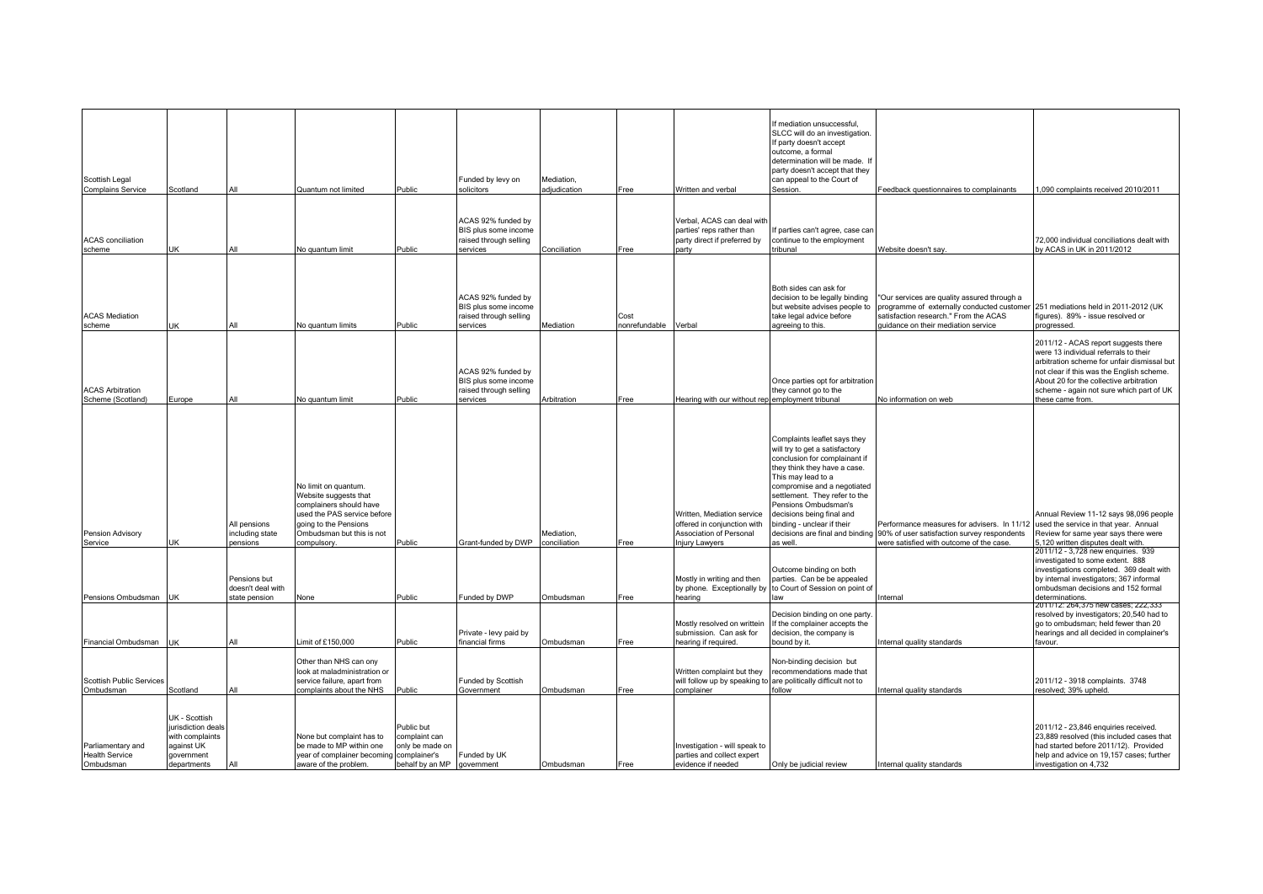| Scottish Legal<br><b>Complains Service</b>              | Scotland                                                                                          | All                                                | Quantum not limited                                                                                                                                                         | Public                                                                           | Funded by levy on<br>solicitors                                                  | Mediation,<br>adiudication | Free                  | Written and verbal                                                                                            | If mediation unsuccessful.<br>SLCC will do an investigation.<br>If party doesn't accept<br>outcome, a formal<br>determination will be made. If<br>party doesn't accept that they<br>can appeal to the Court of<br>Session.                                                                                                                              | Feedback questionnaires to complainants                                                                                                                                      | 1,090 complaints received 2010/2011                                                                                                                                                                                                                                                  |
|---------------------------------------------------------|---------------------------------------------------------------------------------------------------|----------------------------------------------------|-----------------------------------------------------------------------------------------------------------------------------------------------------------------------------|----------------------------------------------------------------------------------|----------------------------------------------------------------------------------|----------------------------|-----------------------|---------------------------------------------------------------------------------------------------------------|---------------------------------------------------------------------------------------------------------------------------------------------------------------------------------------------------------------------------------------------------------------------------------------------------------------------------------------------------------|------------------------------------------------------------------------------------------------------------------------------------------------------------------------------|--------------------------------------------------------------------------------------------------------------------------------------------------------------------------------------------------------------------------------------------------------------------------------------|
| <b>ACAS</b> conciliation<br>scheme                      | JK                                                                                                | All                                                | No quantum limit                                                                                                                                                            | Public                                                                           | ACAS 92% funded by<br>BIS plus some income<br>raised through selling<br>services | Conciliation               | Free                  | Verbal, ACAS can deal with<br>parties' reps rather than<br>party direct if preferred by<br>party              | If parties can't agree, case car<br>continue to the employment<br>tribunal                                                                                                                                                                                                                                                                              | Website doesn't say.                                                                                                                                                         | 72,000 individual conciliations dealt with<br>by ACAS in UK in 2011/2012                                                                                                                                                                                                             |
| <b>ACAS Mediation</b><br>scheme                         | JK                                                                                                | All                                                | No quantum limits                                                                                                                                                           | Public                                                                           | ACAS 92% funded by<br>BIS plus some income<br>raised through selling<br>services | Mediation                  | Cost<br>nonrefundable | Verbal                                                                                                        | Both sides can ask for<br>decision to be legally binding<br>but website advises people to<br>take legal advice before<br>agreeing to this.                                                                                                                                                                                                              | 'Our services are quality assured through a<br>programme of externally conducted customer<br>satisfaction research." From the ACAS<br>quidance on their mediation service    | 251 mediations held in 2011-2012 (UK<br>figures). 89% - issue resolved or<br>progressed.                                                                                                                                                                                             |
| <b>ACAS Arbitration</b><br>Scheme (Scotland)            | Europe                                                                                            | All                                                | No quantum limit                                                                                                                                                            | Public                                                                           | ACAS 92% funded by<br>BIS plus some income<br>raised through selling<br>services | Arbitration                | Free                  | learing with our without rep employment tribunal                                                              | Once parties opt for arbitration<br>they cannot go to the                                                                                                                                                                                                                                                                                               | No information on web                                                                                                                                                        | 2011/12 - ACAS report suggests there<br>were 13 individual referrals to their<br>arbitration scheme for unfair dismissal but<br>not clear if this was the English scheme.<br>About 20 for the collective arbitration<br>scheme - again not sure which part of UK<br>these came from. |
| <b>Pension Advisory</b><br>Service                      | UK                                                                                                | All pensions<br>including state<br>pensions        | No limit on quantum.<br>Website suggests that<br>complainers should have<br>used the PAS service before<br>going to the Pensions<br>Ombudsman but this is not<br>compulsory | Public                                                                           | Grant-funded by DWP                                                              | Mediation.<br>conciliation | Free                  | Written, Mediation service<br>offered in conjunction with<br>Association of Personal<br><b>Injury Lawyers</b> | Complaints leaflet says they<br>will try to get a satisfactory<br>conclusion for complainant if<br>they think they have a case.<br>This may lead to a<br>compromise and a negotiated<br>settlement. They refer to the<br>Pensions Ombudsman's<br>decisions being final and<br>binding - unclear if their<br>decisions are final and binding<br>as well. | Performance measures for advisers. In 11/12 used the service in that year. Annual<br>90% of user satisfaction survey respondents<br>were satisfied with outcome of the case. | Annual Review 11-12 says 98,096 people<br>Review for same year says there were<br>5.120 written disputes dealt with.                                                                                                                                                                 |
| Pensions Ombudsman UK                                   |                                                                                                   | Pensions but<br>doesn't deal with<br>state pension | None                                                                                                                                                                        | Public                                                                           | Funded by DWP                                                                    | Ombudsman                  | Free                  | Mostly in writing and then<br>by phone. Exceptionally by<br>hearing                                           | Outcome binding on both<br>parties. Can be be appealed<br>to Court of Session on point of<br>aw                                                                                                                                                                                                                                                         | nternal                                                                                                                                                                      | 2011/12 - 3,728 new enguiries. 939<br>investigated to some extent. 888<br>investigations completed. 369 dealt with<br>by internal investigators; 367 informal<br>ombudsman decisions and 152 formal<br>determinations.                                                               |
| Financial Ombudsman   L                                 | JK                                                                                                | All                                                | $\text{limit of } £150.000$                                                                                                                                                 | Public                                                                           | Private - levy paid by<br>financial firms                                        | Ombudsman                  | Free                  | Mostly resolved on writtein<br>submission. Can ask for<br>hearing if required.                                | Decision binding on one party.<br>If the complainer accepts the<br>decision, the company is<br>bound by it.                                                                                                                                                                                                                                             | nternal quality standards                                                                                                                                                    | 2011/12: 264,375 new cases; 222,333<br>esolved by investigators; 20,540 had to<br>go to ombudsman; held fewer than 20<br>hearings and all decided in complainer's<br>favour.                                                                                                         |
| <b>Scottish Public Services</b><br>Ombudsman            | Scotland                                                                                          | All                                                | Other than NHS can ony<br>look at maladministration or<br>service failure, apart from<br>complaints about the NHS                                                           | Public                                                                           | Funded by Scottish<br>Government                                                 | Ombudsman                  | Free                  | Written complaint but they<br>complainer                                                                      | Non-binding decision but<br>ecommendations made that<br>will follow up by speaking to are politically difficult not to<br>follow                                                                                                                                                                                                                        | nternal quality standards                                                                                                                                                    | 2011/12 - 3918 complaints. 3748<br>resolved; 39% upheld.                                                                                                                                                                                                                             |
| Parliamentary and<br><b>Health Service</b><br>Ombudsman | UK - Scottish<br>jurisdiction deals<br>with complaints<br>against UK<br>government<br>departments |                                                    | None but complaint has to<br>be made to MP within one<br>year of complainer becoming<br>aware of the problem.                                                               | Public but<br>complaint can<br>only be made on<br>complainer's<br>ehalf by an MP | Funded by UK<br>government                                                       | Ombudsman                  | Free                  | Investigation - will speak to<br>parties and collect expert<br>evidence if needed                             | Only be judicial review                                                                                                                                                                                                                                                                                                                                 | nternal quality standards                                                                                                                                                    | 2011/12 - 23,846 enquiries received.<br>23,889 resolved (this included cases that<br>had started before 2011/12). Provided<br>help and advice on 19,157 cases; further<br>investigation on 4,732                                                                                     |